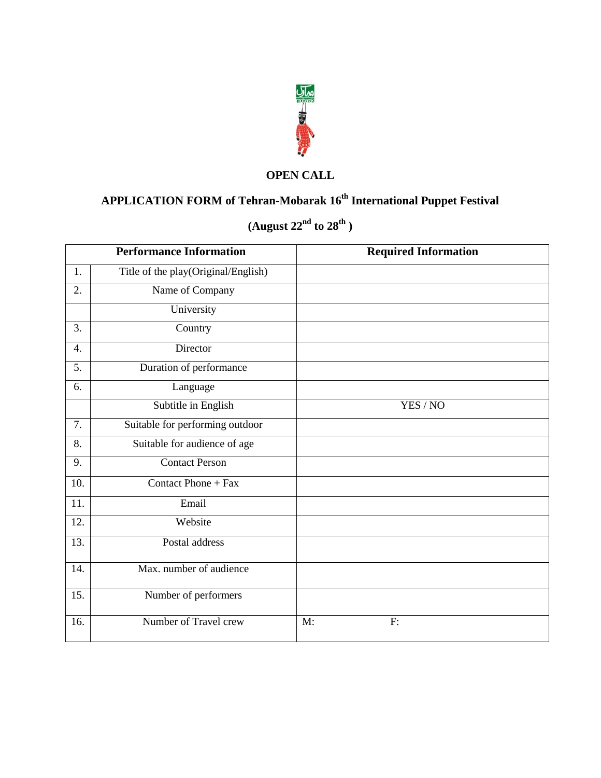

### **OPEN CALL**

# **APPLICATION FORM of Tehran-Mobarak 16th International Puppet Festival**

# **(August 22nd to 28th )**

|                  | <b>Performance Information</b>      | <b>Required Information</b> |  |  |
|------------------|-------------------------------------|-----------------------------|--|--|
| 1.               | Title of the play(Original/English) |                             |  |  |
| $\overline{2}$ . | Name of Company                     |                             |  |  |
|                  | University                          |                             |  |  |
| 3.               | Country                             |                             |  |  |
| $\overline{4}$ . | Director                            |                             |  |  |
| 5.               | Duration of performance             |                             |  |  |
| 6.               | Language                            |                             |  |  |
|                  | Subtitle in English                 | YES / NO                    |  |  |
| 7.               | Suitable for performing outdoor     |                             |  |  |
| 8.               | Suitable for audience of age        |                             |  |  |
| 9.               | <b>Contact Person</b>               |                             |  |  |
| 10.              | Contact Phone + Fax                 |                             |  |  |
| 11.              | Email                               |                             |  |  |
| 12.              | Website                             |                             |  |  |
| 13.              | Postal address                      |                             |  |  |
| 14.              | Max. number of audience             |                             |  |  |
| 15.              | Number of performers                |                             |  |  |
| 16.              | Number of Travel crew               | M:<br>F:                    |  |  |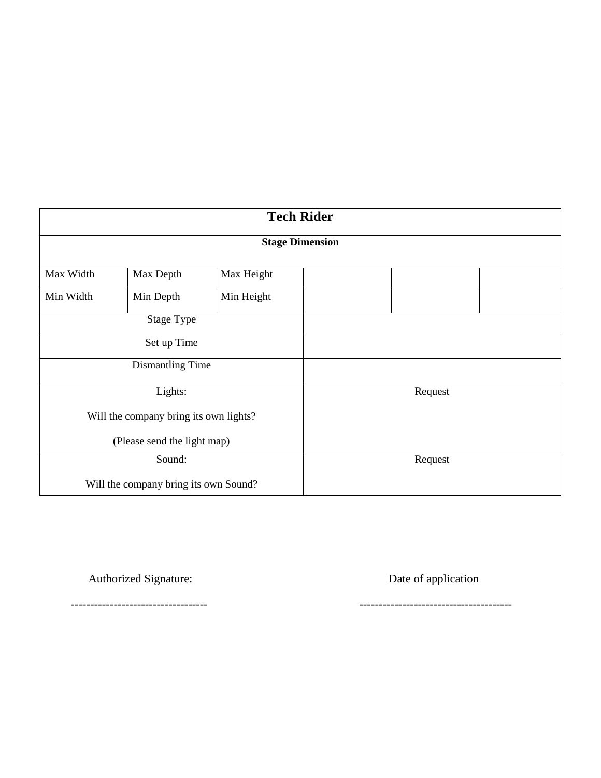| <b>Tech Rider</b>           |                                        |            |         |         |  |  |  |  |
|-----------------------------|----------------------------------------|------------|---------|---------|--|--|--|--|
| <b>Stage Dimension</b>      |                                        |            |         |         |  |  |  |  |
| Max Width                   | Max Depth                              | Max Height |         |         |  |  |  |  |
| Min Width                   | Min Depth                              | Min Height |         |         |  |  |  |  |
|                             | <b>Stage Type</b>                      |            |         |         |  |  |  |  |
| Set up Time                 |                                        |            |         |         |  |  |  |  |
| Dismantling Time            |                                        |            |         |         |  |  |  |  |
|                             | Lights:                                |            | Request |         |  |  |  |  |
|                             | Will the company bring its own lights? |            |         |         |  |  |  |  |
| (Please send the light map) |                                        |            |         |         |  |  |  |  |
| Sound:                      |                                        |            |         | Request |  |  |  |  |
|                             | Will the company bring its own Sound?  |            |         |         |  |  |  |  |

Authorized Signature: Date of application

----------------------------------- ---------------------------------------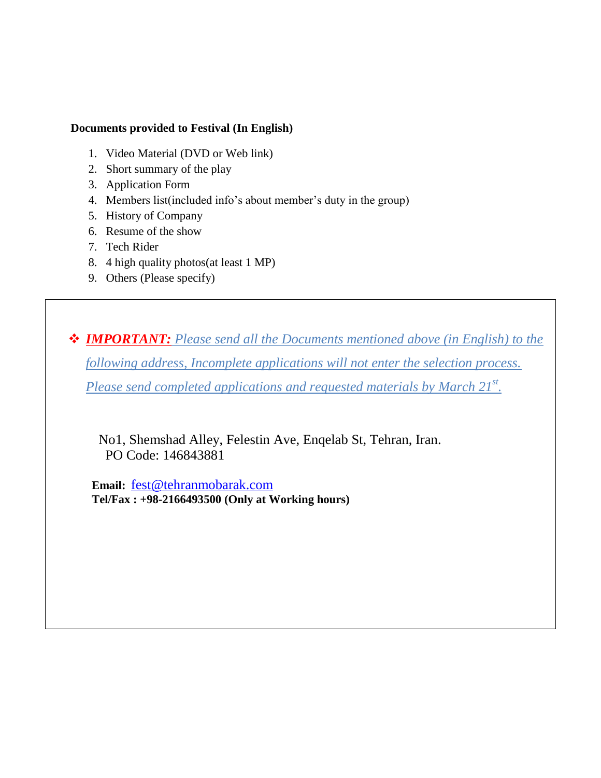#### **Documents provided to Festival (In English)**

- 1. Video Material (DVD or Web link)
- 2. Short summary of the play
- 3. Application Form
- 4. Members list(included info's about member's duty in the group)
- 5. History of Company
- 6. Resume of the show
- 7. Tech Rider
- 8. 4 high quality photos(at least 1 MP)
- 9. Others (Please specify)

 *IMPORTANT: Please send all the Documents mentioned above (in English) to the following address, Incomplete applications will not enter the selection process. Please send completed applications and requested materials by March 21st .* 

 No1, Shemshad Alley, Felestin Ave, Enqelab St, Tehran, Iran. PO Code: 146843881

 **Email:** [fest@tehranmobarak.com](mailto:fest@tehranmobarak.com)  **Tel/Fax : +98-2166493500 (Only at Working hours)**